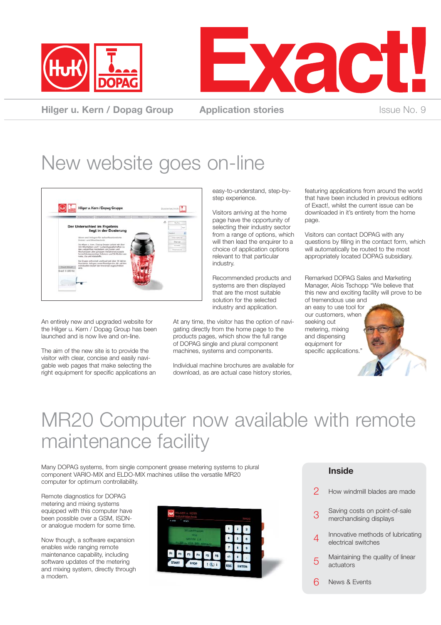



**Hilger u. Kern / Dopag Group Application stories ISSUE No. 9** Issue No. 9

### New website goes on-line



An entirely new and upgraded website for the Hilger u. Kern / Dopag Group has been launched and is now live and on-line.

The aim of the new site is to provide the visitor with clear, concise and easily navigable web pages that make selecting the right equipment for specific applications an

easy-to-understand, step-bystep experience.

Visitors arriving at the home page have the opportunity of selecting their industry sector from a range of options, which will then lead the enquirer to a choice of application options relevant to that particular industry.

Recommended products and systems are then displayed that are the most suitable solution for the selected industry and application.

At any time, the visitor has the option of navigating directly from the home page to the products pages, which show the full range of DOPAG single and plural component machines, systems and components.

Individual machine brochures are available for download, as are actual case history stories,

featuring applications from around the world that have been included in previous editions of Exact!, whilst the current issue can be downloaded in it's entirety from the home page.

Visitors can contact DOPAG with any questions by filling in the contact form, which will automatically be routed to the most appropriately located DOPAG subsidiary.

Remarked DOPAG Sales and Marketing Manager, Alois Tschopp "We believe that this new and exciting facility will prove to be of tremendous use and an easy to use tool for our customers, when seeking out metering, mixing and dispensing equipment for specific applications.

### MR20 Computer now available with remote maintenance facility

Many DOPAG systems, from single component grease metering systems to plural component VARIO-MIX and ELDO-MIX machines utilise the versatile MR20 computer for optimum controllability.

Remote diagnostics for DOPAG metering and mixing systems equipped with this computer have been possible over a GSM, ISDNor analogue modem for some time.

Now though, a software expansion enables wide ranging remote maintenance capability, including software updates of the metering and mixing system, directly through a modem.



#### **Inside**

|   | How windmill blades are made                             |
|---|----------------------------------------------------------|
| З | Saving costs on point-of-sale<br>merchandising displays  |
| 4 | Innovative methods of lubricating<br>electrical switches |
| 5 | Maintaining the quality of linear<br>actuators           |
|   | News & Events                                            |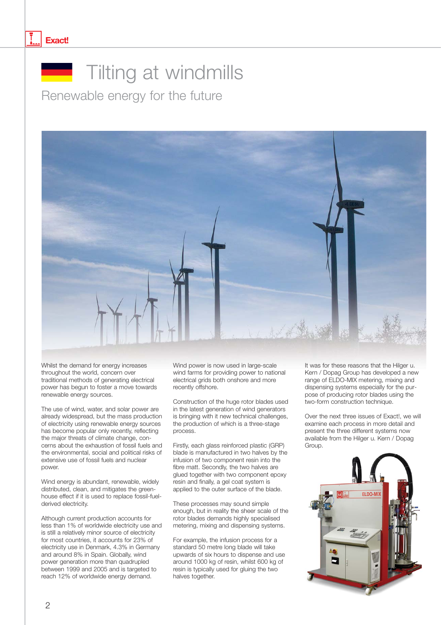#### **Exact!**



### **Tilting at windmills**

Renewable energy for the future



Whilst the demand for energy increases throughout the world, concern over traditional methods of generating electrical power has begun to foster a move towards renewable energy sources.

The use of wind, water, and solar power are already widespread, but the mass production of electricity using renewable energy sources has become popular only recently, reflecting the major threats of climate change, concerns about the exhaustion of fossil fuels and the environmental, social and political risks of extensive use of fossil fuels and nuclear power.

Wind energy is abundant, renewable, widely distributed, clean, and mitigates the greenhouse effect if it is used to replace fossil-fuelderived electricity.

Although current production accounts for less than 1% of worldwide electricity use and is still a relatively minor source of electricity for most countries, it accounts for 23% of electricity use in Denmark, 4.3% in Germany and around 8% in Spain. Globally, wind power generation more than quadrupled between 1999 and 2005 and is targeted to reach 12% of worldwide energy demand.

Wind power is now used in large-scale wind farms for providing power to national electrical grids both onshore and more recently offshore.

Construction of the huge rotor blades used in the latest generation of wind generators is bringing with it new technical challenges, the production of which is a three-stage process.

Firstly, each glass reinforced plastic (GRP) blade is manufactured in two halves by the infusion of two component resin into the fibre matt. Secondly, the two halves are glued together with two component epoxy resin and finally, a gel coat system is applied to the outer surface of the blade.

These processes may sound simple enough, but in reality the sheer scale of the rotor blades demands highly specialised metering, mixing and dispensing systems.

For example, the infusion process for a standard 50 metre long blade will take upwards of six hours to dispense and use around 1000 kg of resin, whilst 600 kg of resin is typically used for gluing the two halves together.

It was for these reasons that the Hilger u. Kern / Dopag Group has developed a new range of ELDO-MIX metering, mixing and dispensing systems especially for the purpose of producing rotor blades using the two-form construction technique.

Over the next three issues of Exact!, we will examine each process in more detail and present the three different systems now available from the Hilger u. Kern / Dopag Group.

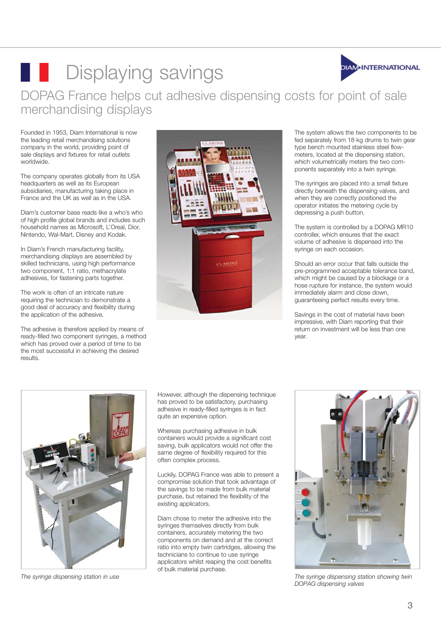

### **Displaying savings** DOPAG France helps cut adhesive dispensing costs for point of sale merchandising displays

Founded in 1953, Diam International is now the leading retail merchandising solutions company in the world, providing point of sale displays and fixtures for retail outlets worldwide.

The company operates globally from its USA headquarters as well as its European subsidiaries, manufacturing taking place in France and the UK as well as in the USA.

Diam's customer base reads like a who's who of high profile global brands and includes such household names as Microsoft, L'Oreal, Dior, Nintendo, Wal-Mart, Disney and Kodak.

In Diam's French manufacturing facility, merchandising displays are assembled by skilled technicians, using high performance two component, 1:1 ratio, methacrylate adhesives, for fastening parts together.

The work is often of an intricate nature requiring the technician to demonstrate a good deal of accuracy and flexibility during the application of the adhesive.

The adhesive is therefore applied by means of ready-filled two component syringes, a method which has proved over a period of time to be the most successful in achieving the desired results.



The system allows the two components to be fed separately from 18 kg drums to twin gear type bench mounted stainless steel flowmeters, located at the dispensing station, which volumetrically meters the two components separately into a twin syringe.

The syringes are placed into a small fixture directly beneath the dispensing valves, and when they are correctly positioned the operator initiates the metering cycle by depressing a push button.

The system is controlled by a DOPAG MR10 controller, which ensures that the exact volume of adhesive is dispensed into the syringe on each occasion.

Should an error occur that falls outside the pre-programmed acceptable tolerance band, which might be caused by a blockage or a hose rupture for instance, the system would immediately alarm and close down, guaranteeing perfect results every time.

Savings in the cost of material have been impressive, with Diam reporting that their return on investment will be less than one year.



*The syringe dispensing station in use*

However, although the dispensing technique has proved to be satisfactory, purchasing adhesive in ready-filled syringes is in fact quite an expensive option.

Whereas purchasing adhesive in bulk containers would provide a significant cost saving, bulk applicators would not offer the same degree of flexibility required for this often complex process.

Luckily, DOPAG France was able to present a compromise solution that took advantage of the savings to be made from bulk material purchase, but retained the flexibility of the existing applicators.

Diam chose to meter the adhesive into the syringes themselves directly from bulk containers, accurately metering the two components on demand and at the correct ratio into empty twin cartridges, allowing the technicians to continue to use syringe applicators whilst reaping the cost benefits of bulk material purchase.



*The syringe dispensing station showing twin DOPAG dispensing valves*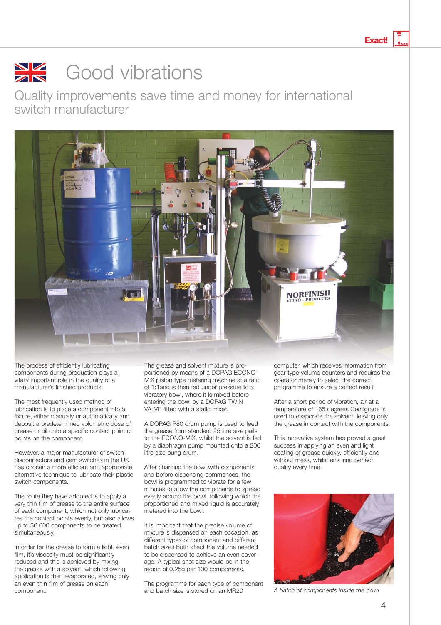**Exact!**

#### $\frac{\sum x}{\sum x}$ Good vibrations

Quality improvements save time and money for international switch manufacturer



The process of efficiently lubricating components during production plays a vitally important role in the quality of a manufacturer's finished products.

The most frequently used method of lubrication is to place a component into a fixture, either manually or automatically and deposit a predetermined volumetric dose of grease or oil onto a specific contact point or points on the component.

However, a major manufacturer of switch disconnectors and cam switches in the UK has chosen a more efficient and appropriate alternative technique to lubricate their plastic switch components.

The route they have adopted is to apply a very thin film of grease to the entire surface of each component, which not only lubricates the contact points evenly, but also allows up to 36,000 components to be treated simultaneously.

In order for the grease to form a light, even film, it's viscosity must be significantly reduced and this is achieved by mixing the grease with a solvent, which following application is then evaporated, leaving only an even thin film of grease on each

The grease and solvent mixture is proportioned by means of a DOPAG ECONO-MIX piston type metering machine at a ratio of 1:1and is then fed under pressure to a vibratory bowl, where it is mixed before entering the bowl by a DOPAG TWIN VALVE fitted with a static mixer.

A DOPAG P80 drum pump is used to feed the grease from standard 25 litre size pails to the ECONO-MIX, whilst the solvent is fed by a diaphragm pump mounted onto a 200 litre size bung drum.

After charging the bowl with components and before dispensing commences, the bowl is programmed to vibrate for a few minutes to allow the components to spread evenly around the bowl, following which the proportioned and mixed liquid is accurately metered into the bowl.

It is important that the precise volume of mixture is dispensed on each occasion, as different types of component and different batch sizes both affect the volume needed to be dispensed to achieve an even coverage. A typical shot size would be in the region of 0.25g per 100 components.

The programme for each type of component and batch size is stored on an MR20 component. *Component* component. **A** batch of components inside the bowl

computer, which receives information from gear type volume counters and requires the operator merely to select the correct programme to ensure a perfect result.

After a short period of vibration, air at a temperature of 165 degrees Centigrade is used to evaporate the solvent, leaving only the grease in contact with the components.

This innovative system has proved a great success in applying an even and light coating of grease quickly, efficiently and without mess, whilst ensuring perfect quality every time.

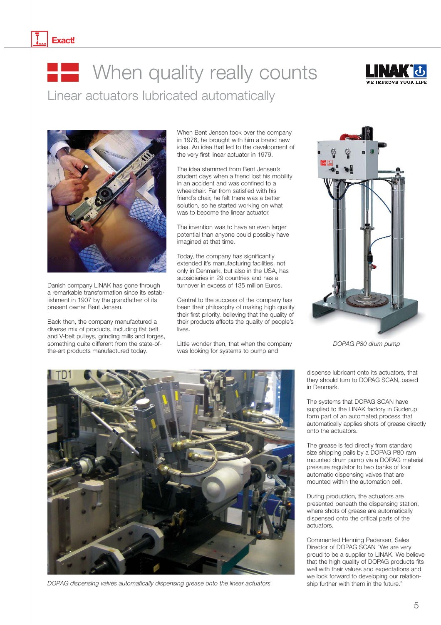#### **Exact!**

# **THE When quality really counts**

Linear actuators lubricated automatically





Danish company LINAK has gone through a remarkable transformation since its establishment in 1907 by the grandfather of its present owner Bent Jensen.

Back then, the company manufactured a diverse mix of products, including flat belt and V-belt pulleys, grinding mills and forges, something quite different from the state-ofthe-art products manufactured today.

When Bent Jensen took over the company in 1976, he brought with him a brand new idea. An idea that led to the development of the very first linear actuator in 1979.

The idea stemmed from Bent Jensen's student days when a friend lost his mobility in an accident and was confined to a wheelchair. Far from satisfied with his friend's chair, he felt there was a better solution, so he started working on what was to become the linear actuator.

The invention was to have an even larger potential than anyone could possibly have imagined at that time.

Today, the company has significantly extended it's manufacturing facilities, not only in Denmark, but also in the USA, has subsidiaries in 29 countries and has a turnover in excess of 135 million Euros.

Central to the success of the company has been their philosophy of making high quality their first priority, believing that the quality of their products affects the quality of people's lives.

Little wonder then, that when the company was looking for systems to pump and



*DOPAG P80 drum pump*

dispense lubricant onto its actuators, that they should turn to DOPAG SCAN, based in Denmark.

The systems that DOPAG SCAN have supplied to the LINAK factory in Guderup form part of an automated process that automatically applies shots of grease directly onto the actuators.

The grease is fed directly from standard size shipping pails by a DOPAG P80 ram mounted drum pump via a DOPAG material pressure regulator to two banks of four automatic dispensing valves that are mounted within the automation cell.

During production, the actuators are presented beneath the dispensing station, where shots of grease are automatically dispensed onto the critical parts of the actuators.

Commented Henning Pedersen, Sales Director of DOPAG SCAN "We are very proud to be a supplier to LINAK. We believe that the high quality of DOPAG products fits well with their values and expectations and we look forward to developing our relationship further with them in the future."



*DOPAG dispensing valves automatically dispensing grease onto the linear actuators*

5